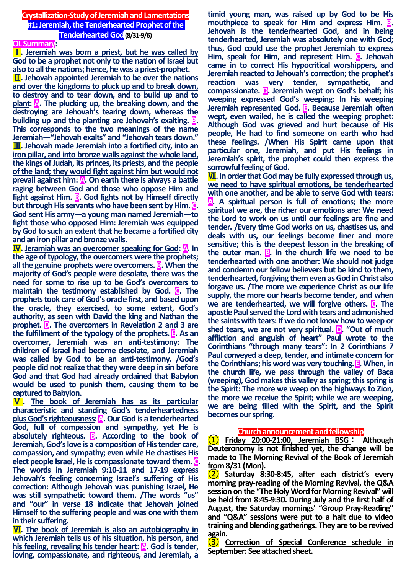## **Crystallization-Study of Jeremiah and Lamentations #1:Jeremiah, the Tenderhearted Prophet of the Tenderhearted God(8/31-9/6)**

#### **OL Summary:**

Ⅰ**. Jeremiah was born a priest, but he was called by God to be a prophet not only to the nation of Israel but also to all the nations; hence, he was a priest-prophet.**

Ⅱ**. Jehovah appointed Jeremiah to be over the nations and over the kingdoms to pluck up and to break down, to destroy and to tear down, and to build up and to plant: A. The plucking up, the breaking down, and the destroying are Jehovah's tearing down, whereas the building up and the planting are Jehovah's exalting. B. This corresponds to the two meanings of the name Jeremiah—"Jehovah exalts" and "Jehovah tears down."** Ⅲ**. Jehovah made Jeremiah into a fortified city, into an iron pillar, and into bronze walls against the whole land, the kings of Judah, its princes, its priests, and the people of the land; they would fight against him but would not prevail against him:** A. On earth there is always a battle **raging between God and those who oppose Him and fight against Him. B. God fights not by Himself directly but through His servants who have been sent by Him. C. God sent His army—a young man named Jeremiah—to fight those who opposed Him: Jeremiah was equipped by God to such an extent that he became a fortified city and an iron pillar and bronze walls.**

Ⅳ**. Jeramiah was an overcomer speaking for God: A. In the age of typology, the overcomers were the prophets; all the genuine prophets were overcomers. B. When the majority of God's people were desolate, there was the need for some to rise up to be God's overcomers to maintain the testimony established by God. C. The prophets took care of God's oracle first, and based upon the oracle, they exercised, to some extent, God's authority, as seen with David the king and Nathan the prophet. D. The overcomers in Revelation 2 and 3 are the fulfillment of the typology of the prophets. E. As an overcomer, Jeremiah was an anti-testimony: The children of Israel had become desolate, and Jeremiah was called by God to be an anti-testimony. /God's people did not realize that they were deep in sin before God and that God had already ordained that Babylon would be used to punish them, causing them to be captured to Babylon.**

Ⅴ**. The book of Jeremiah has as its particular characteristic and standing God's tenderheartedness plus God's righteousness: A. Our God is a tenderhearted God, full of compassion and sympathy, yet He is absolutely righteous. B. According to the book of Jeremiah, God's love is a composition of His tender care, compassion, and sympathy; even while He chastises His elect people Israel, He is compassionate toward them. C. The words in Jeremiah 9:10-11 and 17-19 express Jehovah's feeling concerning Israel's suffering of His correction: Although Jehovah was punishing Israel, He was still sympathetic toward them. /The words "us" and "our" in verse 18 indicate that Jehovah joined Himself to the suffering people and was one with them in their suffering.**

Ⅵ**. The book of Jeremiah is also an autobiography in which Jeremiah tells us of his situation, his person, and his feeling, revealing his tender heart: A. God is tender, loving, compassionate, and righteous, and Jeremiah, a** 

**timid young man, was raised up by God to be His mouthpiece to speak for Him and express Him. <b>B**. **Jehovah is the tenderhearted God, and in being tenderhearted, Jeremiah was absolutely one with God; thus, God could use the prophet Jeremiah to express Him, speak for Him, and represent Him. C. Jehovah came in to correct His hypocritical worshippers, and Jeremiah reacted to Jehovah's correction; the prophet's reaction was very tender, sympathetic, and compassionate. D. Jeremiah wept on God's behalf; his weeping expressed God's weeping: In his weeping Jeremiah represented God. E. Because Jeremiah often wept, even wailed, he is called the weeping prophet: Although God was grieved and hurt because of His people, He had to find someone on earth who had these feelings. /When His Spirit came upon that particular one, Jeremiah, and put His feelings in Jeremiah's spirit, the prophet could then express the sorrowful feeling of God.**

Ⅶ**. In order that God may be fully expressed through us, we need to have spiritual emotions, be tenderhearted with one another, and be able to serve God with tears: A. A spiritual person is full of emotions; the more spiritual we are, the richer our emotions are: We need the Lord to work on us until our feelings are fine and tender. /Every time God works on us, chastises us, and deals with us, our feelings become finer and more sensitive; this is the deepest lesson in the breaking of**  the outer man. **B**. In the church life we need to be **tenderhearted with one another: We should not judge and condemn our fellow believers but be kind to them, tenderhearted, forgiving them even as God in Christ also forgave us. /The more we experience Christ as our life supply, the more our hearts become tender, and when we are tenderhearted, we will forgive others. C. The apostle Paul served the Lord with tears and admonished the saints with tears: If we do not know how to weep or shed tears, we are not very spiritual. D. "Out of much affliction and anguish of heart" Paul wrote to the Corinthians "through many tears": In 2 Corinthians 7 Paul conveyed a deep, tender, and intimate concern for the Corinthians; his word was very touching. E. When, in the church life, we pass through the valley of Baca (weeping), God makes this valley as spring; this spring is the Spirit: The more we weep on the highways to Zion, the more we receive the Spirit; while we are weeping, we are being filled with the Spirit, and the Spirit becomes our spring.**

**Church announcement and fellowship <sup>①</sup> Friday 20:00-21:00, Jeremiah BSG** : **Although Deuteronomy is not finished yet, the change will be made to The Morning Revival of the Book of Jeremiah** 

**from 8/31 (Mon). <sup>②</sup> Saturday 8:30-8:45, after each district's every morning pray-reading of the Morning Revival, the Q&A session on the "The Holy Word for Morning Revival" will be held from 8:45-9:30. During July and the first half of August, the Saturday mornings' "Group Pray-Reading" and "Q&A" sessions were put to a halt due to video training and blending gatherings. They are to be revived** 

**again. <sup>③</sup> Correction of Special Conference schedule in September: See attached sheet.**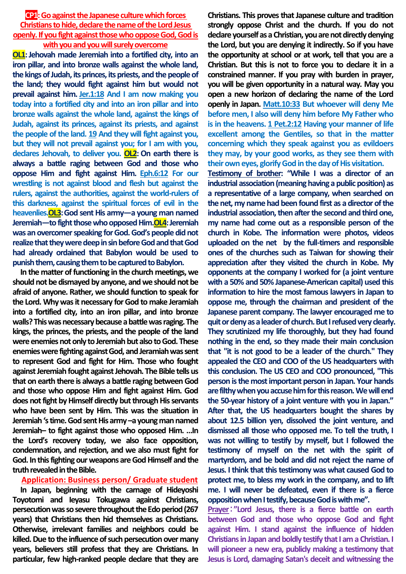## **CP1:** Go against the Japanese culture which forces **Christians to hide, declare the name of the Lord Jesus openly. If you fight against those who oppose God, God is with you and you will surely overcome**

**OL1:** Jehovah made Jeremiah into a fortified city, into an **iron pillar, and into bronze walls against the whole land, the kings of Judah, its princes, its priests, and the people of the land; they would fight against him but would not prevail against him. Jer.1:18 And I am now making you today into a fortified city and into an iron pillar and into bronze walls against the whole land, against the kings of Judah, against its princes, against its priests, and against the people of the land. 19 And they will fight against you, but they will not prevail against you; for I am with you, declares Jehovah, to deliver you. OL2: On earth there is always a battle raging between God and those who oppose Him and fight against Him. Eph.6:12 For our wrestling is not against blood and flesh but against the rulers, against the authorities, against the world-rulers of this darkness, against the spiritual forces of evil in the heavenlies.OL3:God sent His army—a young man named Jeremiah—to fight those who opposed Him. OL4: Jeremiah was an overcomer speaking for God. God's people did not realize that they were deep in sin before God and that God had already ordained that Babylon would be used to punish them, causing them to be captured to Babylon.**

**In the matter of functioning in the church meetings, we should not be dismayed by anyone, and we should not be afraid of anyone. Rather, we should function to speak for the Lord. Why was it necessary for God to make Jeramiah into a fortified city, into an iron pillar, and into bronze walls? This was necessary because a battle was raging. The kings, the princes, the priests, and the people of the land were enemies not only to Jeremiah but also to God. These enemies were fighting against God, and Jeramiah was sent to represent God and fight for Him. Those who fought against Jeremiah fought against Jehovah. The Bible tells us that on earth there is always a battle raging between God and those who oppose Him and fight against Him. God does not fight by Himself directly but through His servants who have been sent by Him. This was the situation in Jeremiah's time. God sent His army –a young man named Jeremiah– to fight against those who opposed Him. …In the Lord's recovery today, we also face opposition, condemnation, and rejection, and we also must fight for God. In this fighting our weapons are God Himself and the truth revealed in the Bible.**

## **Application: Business person/ Graduate student**

**In Japan, beginning with the carnage of Hideyoshi Toyotomi and Ieyasu Tokugawa against Christians, persecution was so severe throughout the Edo period (267 years) that Christians then hid themselves as Christians. Otherwise, irrelevant families and neighbors could be killed. Due to the influence of such persecution over many years, believers still profess that they are Christians. In particular, few high-ranked people declare that they are** 

**Christians. This proves that Japanese culture and tradition strongly oppose Christ and the church. If you do not declare yourself as a Christian, you are not directly denying the Lord, but you are denying it indirectly. So if you have the opportunity at school or at work, tell that you are a Christian. But this is not to force you to declare it in a constrained manner. If you pray with burden in prayer, you will be given opportunity in a natural way. May you open a new horizon of declaring the name of the Lord openly in Japan. Matt.10:33 But whoever will deny Me before men, I also will deny him before My Father who is in the heavens. 1 Pet.2:12 Having your manner of life excellent among the Gentiles, so that in the matter concerning which they speak against you as evildoers they may, by your good works, as they see them with their own eyes, glorify God in the day of His visitation.**

**Testimony of brother: "While I was a director of an industrial association (meaning having a public position) as a representative of a large company, when searched on the net, my name had been found first as a director of the industrial association, then after the second and third one, my name had come out as a responsible person of the church in Kobe. The information were photos, videos uploaded on the net by the full-timers and responsible ones of the churches such as Taiwan for showing their appreciation after they visited the church in Kobe. My opponents at the company I worked for (a joint venture with a 50% and 50% Japanese-American capital) used this information to hire the most famous lawyers in Japan to oppose me, through the chairman and president of the Japanese parent company. The lawyer encouraged me to quit or deny as a leader of church. But I refused very clearly. They scrutinized my life thoroughly, but they had found nothing in the end, so they made their main conclusion that "it is not good to be a leader of the church." They appealed the CEO and COO of the US headquarters with this conclusion. The US CEO and COO pronounced, "This person is the most important person in Japan. Your hands**  are filthy when you accuse him for this reason. We will end **the 50-year history of a joint venture with you in Japan." After that, the US headquarters bought the shares by about 12.5 billion yen, dissolved the joint venture, and dismissed all those who opposed me. To tell the truth, I was not willing to testify by myself, but I followed the testimony of myself on the net with the spirit of martyrdom, and be bold and did not reject the name of Jesus. I think that this testimony was what caused God to protect me, to bless my work in the company, and to lift me. I will never be defeated, even if there is a fierce opposition whenI testify, because God is with me".**

**Prayer**:**"Lord Jesus, there is a fierce battle on earth between God and those who oppose God and fight against Him. I stand against the influence of hidden Christians in Japan and boldly testify that I am a Christian. I will pioneer a new era, publicly making a testimony that Jesus is Lord, damaging Satan's deceit and witnessing the**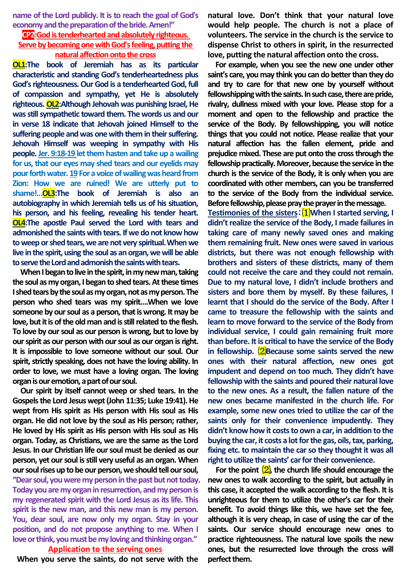**name of the Lord publicly. It is to reach the goal of God's economy and the preparation of the bride. Amen!"**

# **CP2:Godis tenderhearted and absolutely righteous. Serve by becoming one with God's feeling, putting the natural affection onto the cross**

**OL1:The book of Jeremiah has as its particular characteristic and standing God's tenderheartedness plus God's righteousness. Our God is a tenderhearted God, full of compassion and sympathy, yet He is absolutely righteous. OL2:Although Jehovah was punishing Israel, He was still sympathetic toward them. The words us and our in verse 18 indicate that Jehovah joined Himself to the suffering people and was one with them in their suffering. Jehovah Himself was weeping in sympathy with His people.Jer. 9:18-19 let them hasten and take up a wailing for us, that our eyes may shed tears and our eyelids may pour forth water. 19For a voice of wailing was heard from Zion: How we are ruined! We are utterly put to shame!…OL3:The book of Jeremiah is also an autobiography in which Jeremiah tells us of his situation, his person, and his feeling, revealing his tender heart. OL4:The apostle Paul served the Lord with tears and admonished the saints with tears. If we do not know how to weep or shed tears, we are not very spiritual.When we live in the spirit, using the soul as an organ, we will be able to serve the Lord and admonish the saints with tears.** 

**When I began to live in the spirit, in my new man, taking the soul as my organ, I began to shed tears. At these times I shed tears by the soul as my organ, not as my person. The person who shed tears was my spirit….When we love someone by our soul as a person, that is wrong. It may be love, but it is of the old man and is still related to the flesh. To love by our soul as our person is wrong, but to love by our spirit as our person with our soul as our organ is right. It is impossible to love someone without our soul. Our spirit, strictly speaking, does not have the loving ability. In order to love, we must have a loving organ. The loving organ is our emotion, a part of our soul.**

**Our spirit by itself cannot weep or shed tears. In the Gospels the Lord Jesus wept (John 11:35; Luke 19:41). He wept from His spirit as His person with His soul as His organ. He did not love by the soul as His person; rather, He loved by His spirit as His person with His soul as His organ. Today, as Christians, we are the same as the Lord Jesus. In our Christian life our soul must be denied as our person, yet our soul is still very useful as an organ. When our soul rises up to be our person, we should tell our soul, "Dear soul, you were my person in the past but not today. Today you are my organ in resurrection, and my person is my regenerated spirit with the Lord Jesus as its life. This spirit is the new man, and this new man is my person. You, dear soul, are now only my organ. Stay in your position, and do not propose anything to me. When I love or think, you must be my loving and thinking organ."**

#### **Application to the serving ones**

**When you serve the saints, do not serve with the** 

**natural love. Don't think that your natural love would help people. The church is not a place of volunteers. The service in the church is the service to dispense Christ to others in spirit, in the resurrected love, putting the natural affection onto the cross.**

**For example, when you see the new one under other saint's care, you may think you can do better than they do and try to care for that new one by yourself without fellowshipping with the saints. In such case, there are pride, rivalry, dullness mixed with your love. Please stop for a moment and open to the fellowship and practice the service of the Body. By fellowshipping, you will notice things that you could not notice. Please realize that your natural affection has the fallen element, pride and prejudice mixed. These are put onto the cross through the fellowship practically. Moreover, because the service in the church is the service of the Body, it is only when you are coordinated with other members, can you be transferred to the service of the Body from the individual service. Before fellowship, please pray the prayer in the message.** 

**Testimonies of the sisters**:⑴**When I started serving, I didn't realize the service of the Body, I made failures in taking care of many newly saved ones and making them remaining fruit. New ones were saved in various districts, but there was not enough fellowship with brothers and sisters of these districts, many of them could not receive the care and they could not remain. Due to my natural love, I didn't include brothers and sisters and bore them by myself. By these failures, I learnt that I should do the service of the Body. After I came to treasure the fellowship with the saints and learn to move forward to the service of the Body from individual service, I could gain remaining fruit more than before. It is critical to have the service of the Body in fellowship.** ⑵**Because some saints served the new ones with their natural affection, new ones got impudent and depend on too much. They didn't have fellowship with the saints and poured their natural love to the new ones. As a result, the fallen nature of the new ones became manifested in the church life. For example, some new ones tried to utilize the car of the saints only for their convenience impudently. They didn't know how it costs to own a car, in addition to the buying the car, it costs a lot for the gas, oils, tax, parking, fixing etc. to maintain the car so they thought it was all right to utilize the saints' car for their convenience.**

**For the point** ⑵**, the church life should encourage the new ones to walk according to the spirit, but actually in this case, it accepted the walk according to the flesh. It is unrighteous for them to utilize the other's car for their benefit. To avoid things like this, we have set the fee, although it is very cheap, in case of using the car of the saints. Our service should encourage new ones to practice righteousness. The natural love spoils the new ones, but the resurrected love through the cross will perfect them.**